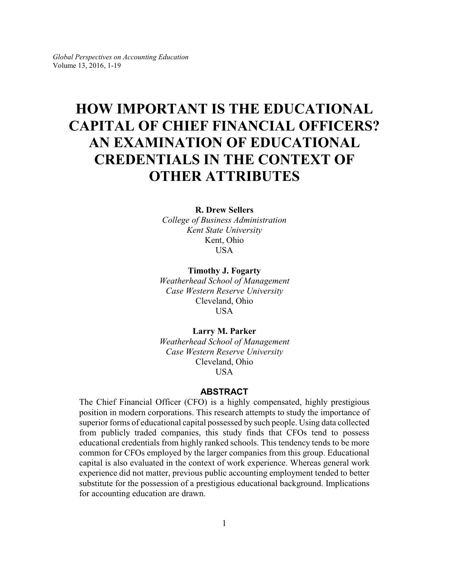# **HOW IMPORTANT IS THE EDUCATIONAL CAPITAL OF CHIEF FINANCIAL OFFICERS? AN EXAMINATION OF EDUCATIONAL CREDENTIALS IN THE CONTEXT OF OTHER ATTRIBUTES**

### **R. Drew Sellers** *College of Business Administration*

*Kent State University* Kent, Ohio **USA** 

**Timothy J. Fogarty** *Weatherhead School of Management Case Western Reserve University* Cleveland, Ohio USA

**Larry M. Parker** *Weatherhead School of Management*

*Case Western Reserve University* Cleveland, Ohio **USA** 

### **ABSTRACT**

The Chief Financial Officer (CFO) is a highly compensated, highly prestigious position in modern corporations. This research attempts to study the importance of superior forms of educational capital possessed by such people. Using data collected from publicly traded companies, this study finds that CFOs tend to possess educational credentials from highly ranked schools. This tendency tends to be more common for CFOs employed by the larger companies from this group. Educational capital is also evaluated in the context of work experience. Whereas general work experience did not matter, previous public accounting employment tended to better substitute for the possession of a prestigious educational background. Implications for accounting education are drawn.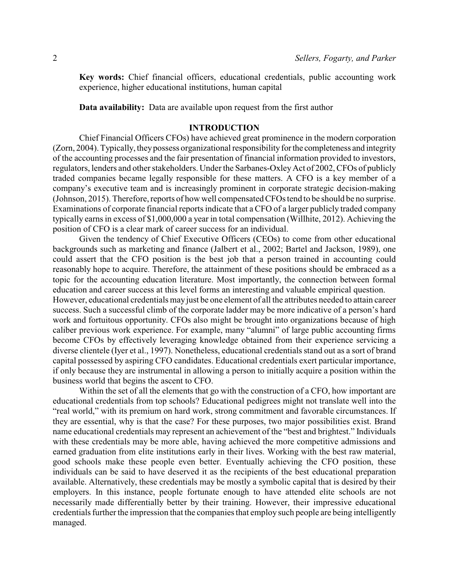**Key words:** Chief financial officers, educational credentials, public accounting work experience, higher educational institutions, human capital

**Data availability:** Data are available upon request from the first author

### **INTRODUCTION**

Chief Financial Officers CFOs) have achieved great prominence in the modern corporation (Zorn, 2004). Typically, theypossess organizational responsibility forthe completeness and integrity of the accounting processes and the fair presentation of financial information provided to investors, regulators, lenders and other stakeholders. Under the Sarbanes-OxleyAct of 2002, CFOs of publicly traded companies became legally responsible for these matters. A CFO is a key member of a company's executive team and is increasingly prominent in corporate strategic decision-making (Johnson, 2015). Therefore, reports of how well compensated CFOs tend to be should be no surprise. Examinations of corporate financial reports indicate that a CFO of a larger publicly traded company typically earns in excess of \$1,000,000 a year in total compensation (Willhite, 2012). Achieving the position of CFO is a clear mark of career success for an individual.

Given the tendency of Chief Executive Officers (CEOs) to come from other educational backgrounds such as marketing and finance (Jalbert et al., 2002; Bartel and Jackson, 1989), one could assert that the CFO position is the best job that a person trained in accounting could reasonably hope to acquire. Therefore, the attainment of these positions should be embraced as a topic for the accounting education literature. Most importantly, the connection between formal education and career success at this level forms an interesting and valuable empirical question.

However, educational credentials may just be one element of all the attributes needed to attain career success. Such a successful climb of the corporate ladder may be more indicative of a person's hard work and fortuitous opportunity. CFOs also might be brought into organizations because of high caliber previous work experience. For example, many "alumni" of large public accounting firms become CFOs by effectively leveraging knowledge obtained from their experience servicing a diverse clientele (Iyer et al., 1997). Nonetheless, educational credentials stand out as a sort of brand capital possessed by aspiring CFO candidates. Educational credentials exert particular importance, if only because they are instrumental in allowing a person to initially acquire a position within the business world that begins the ascent to CFO.

Within the set of all the elements that go with the construction of a CFO, how important are educational credentials from top schools? Educational pedigrees might not translate well into the "real world," with its premium on hard work, strong commitment and favorable circumstances. If they are essential, why is that the case? For these purposes, two major possibilities exist. Brand name educational credentials may represent an achievement of the "best and brightest." Individuals with these credentials may be more able, having achieved the more competitive admissions and earned graduation from elite institutions early in their lives. Working with the best raw material, good schools make these people even better. Eventually achieving the CFO position, these individuals can be said to have deserved it as the recipients of the best educational preparation available. Alternatively, these credentials may be mostly a symbolic capital that is desired by their employers. In this instance, people fortunate enough to have attended elite schools are not necessarily made differentially better by their training. However, their impressive educational credentials further the impression that the companies that employ such people are being intelligently managed.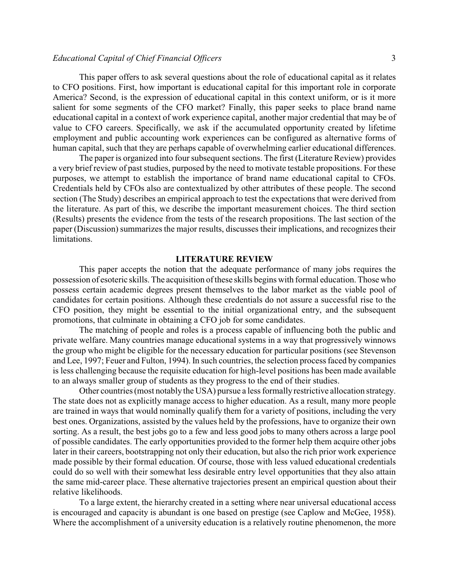This paper offers to ask several questions about the role of educational capital as it relates to CFO positions. First, how important is educational capital for this important role in corporate America? Second, is the expression of educational capital in this context uniform, or is it more salient for some segments of the CFO market? Finally, this paper seeks to place brand name educational capital in a context of work experience capital, another major credential that may be of value to CFO careers. Specifically, we ask if the accumulated opportunity created by lifetime employment and public accounting work experiences can be configured as alternative forms of human capital, such that they are perhaps capable of overwhelming earlier educational differences.

The paper is organized into four subsequent sections. The first (Literature Review) provides a very brief review of past studies, purposed by the need to motivate testable propositions. For these purposes, we attempt to establish the importance of brand name educational capital to CFOs. Credentials held by CFOs also are contextualized by other attributes of these people. The second section (The Study) describes an empirical approach to test the expectations that were derived from the literature. As part of this, we describe the important measurement choices. The third section (Results) presents the evidence from the tests of the research propositions. The last section of the paper (Discussion) summarizes the major results, discusses their implications, and recognizes their limitations.

### **LITERATURE REVIEW**

This paper accepts the notion that the adequate performance of many jobs requires the possession of esoteric skills. The acquisition of these skills begins with formal education. Those who possess certain academic degrees present themselves to the labor market as the viable pool of candidates for certain positions. Although these credentials do not assure a successful rise to the CFO position, they might be essential to the initial organizational entry, and the subsequent promotions, that culminate in obtaining a CFO job for some candidates.

The matching of people and roles is a process capable of influencing both the public and private welfare. Many countries manage educational systems in a way that progressively winnows the group who might be eligible for the necessary education for particular positions (see Stevenson and Lee, 1997; Feuer and Fulton, 1994). In such countries, the selection process faced by companies is less challenging because the requisite education for high-level positions has been made available to an always smaller group of students as they progress to the end of their studies.

Other countries (most notably the USA) pursue a less formally restrictive allocation strategy. The state does not as explicitly manage access to higher education. As a result, many more people are trained in ways that would nominally qualify them for a variety of positions, including the very best ones. Organizations, assisted by the values held by the professions, have to organize their own sorting. As a result, the best jobs go to a few and less good jobs to many others across a large pool of possible candidates. The early opportunities provided to the former help them acquire other jobs later in their careers, bootstrapping not only their education, but also the rich prior work experience made possible by their formal education. Of course, those with less valued educational credentials could do so well with their somewhat less desirable entry level opportunities that they also attain the same mid-career place. These alternative trajectories present an empirical question about their relative likelihoods.

To a large extent, the hierarchy created in a setting where near universal educational access is encouraged and capacity is abundant is one based on prestige (see Caplow and McGee, 1958). Where the accomplishment of a university education is a relatively routine phenomenon, the more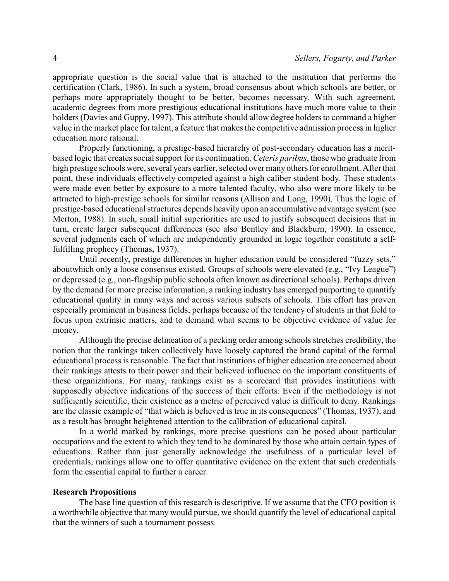appropriate question is the social value that is attached to the institution that performs the certification (Clark, 1986). In such a system, broad consensus about which schools are better, or perhaps more appropriately thought to be better, becomes necessary. With such agreement, academic degrees from more prestigious educational institutions have much more value to their holders (Davies and Guppy, 1997). This attribute should allow degree holders to command a higher value in the market place for talent, a feature that makes the competitive admission process in higher education more rational.

Properly functioning, a prestige-based hierarchy of post-secondary education has a meritbased logic that creates social support for its continuation. *Ceteris paribus*, those who graduate from high prestige schools were, several years earlier, selected over many others for enrollment. After that point, these individuals effectively competed against a high caliber student body. These students were made even better by exposure to a more talented faculty, who also were more likely to be attracted to high-prestige schools for similar reasons (Allison and Long, 1990). Thus the logic of prestige-based educational structures depends heavily upon an accumulative advantage system (see Merton, 1988). In such, small initial superiorities are used to justify subsequent decisions that in turn, create larger subsequent differences (see also Bentley and Blackburn, 1990). In essence, several judgments each of which are independently grounded in logic together constitute a selffulfilling prophecy (Thomas, 1937).

Until recently, prestige differences in higher education could be considered "fuzzy sets," aboutwhich only a loose consensus existed. Groups of schools were elevated (e.g., "Ivy League") or depressed (e.g., non-flagship public schools often known as directional schools). Perhaps driven by the demand for more precise information, a ranking industry has emerged purporting to quantify educational quality in many ways and across various subsets of schools. This effort has proven especially prominent in business fields, perhaps because of the tendency of students in that field to focus upon extrinsic matters, and to demand what seems to be objective evidence of value for money.

Although the precise delineation of a pecking order among schools stretches credibility, the notion that the rankings taken collectively have loosely captured the brand capital of the formal educational process is reasonable. The fact that institutions of higher education are concerned about their rankings attests to their power and their believed influence on the important constituents of these organizations. For many, rankings exist as a scorecard that provides institutions with supposedly objective indications of the success of their efforts. Even if the methodology is not sufficiently scientific, their existence as a metric of perceived value is difficult to deny. Rankings are the classic example of "that which is believed is true in its consequences" (Thomas, 1937), and as a result has brought heightened attention to the calibration of educational capital.

In a world marked by rankings, more precise questions can be posed about particular occupations and the extent to which they tend to be dominated by those who attain certain types of educations. Rather than just generally acknowledge the usefulness of a particular level of credentials, rankings allow one to offer quantitative evidence on the extent that such credentials form the essential capital to further a career.

### **Research Propositions**

The base line question of this research is descriptive. If we assume that the CFO position is a worthwhile objective that many would pursue, we should quantify the level of educational capital that the winners of such a tournament possess.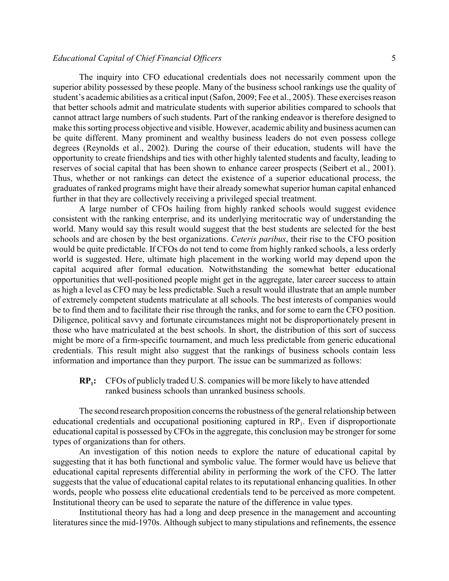The inquiry into CFO educational credentials does not necessarily comment upon the superior ability possessed by these people. Many of the business school rankings use the quality of student's academic abilities as a critical input (Safon, 2009; Fee et al., 2005). These exercises reason that better schools admit and matriculate students with superior abilities compared to schools that cannot attract large numbers of such students. Part of the ranking endeavor is therefore designed to make this sorting process objective and visible. However, academic ability and business acumen can be quite different. Many prominent and wealthy business leaders do not even possess college degrees (Reynolds et al., 2002). During the course of their education, students will have the opportunity to create friendships and ties with other highly talented students and faculty, leading to reserves of social capital that has been shown to enhance career prospects (Seibert et al., 2001). Thus, whether or not rankings can detect the existence of a superior educational process, the graduates of ranked programs might have their already somewhat superior human capital enhanced further in that they are collectively receiving a privileged special treatment.

A large number of CFOs hailing from highly ranked schools would suggest evidence consistent with the ranking enterprise, and its underlying meritocratic way of understanding the world. Many would say this result would suggest that the best students are selected for the best schools and are chosen by the best organizations. *Ceteris paribus*, their rise to the CFO position would be quite predictable. If CFOs do not tend to come from highly ranked schools, a less orderly world is suggested. Here, ultimate high placement in the working world may depend upon the capital acquired after formal education. Notwithstanding the somewhat better educational opportunities that well-positioned people might get in the aggregate, later career success to attain as high a level as CFO may be less predictable. Such a result would illustrate that an ample number of extremely competent students matriculate at all schools. The best interests of companies would be to find them and to facilitate their rise through the ranks, and for some to earn the CFO position. Diligence, political savvy and fortunate circumstances might not be disproportionately present in those who have matriculated at the best schools. In short, the distribution of this sort of success might be more of a firm-specific tournament, and much less predictable from generic educational credentials. This result might also suggest that the rankings of business schools contain less information and importance than they purport. The issue can be summarized as follows:

 $RP_1$ : **:** CFOs of publicly traded U.S. companies will be more likely to have attended ranked business schools than unranked business schools.

The second research proposition concerns the robustness of the general relationship between educational credentials and occupational positioning captured in RP<sub>1</sub>. Even if disproportionate educational capital is possessed byCFOs in the aggregate, this conclusion may be stronger for some types of organizations than for others.

An investigation of this notion needs to explore the nature of educational capital by suggesting that it has both functional and symbolic value. The former would have us believe that educational capital represents differential ability in performing the work of the CFO. The latter suggests that the value of educational capital relates to its reputational enhancing qualities. In other words, people who possess elite educational credentials tend to be perceived as more competent. Institutional theory can be used to separate the nature of the difference in value types.

Institutional theory has had a long and deep presence in the management and accounting literatures since the mid-1970s. Although subject to many stipulations and refinements, the essence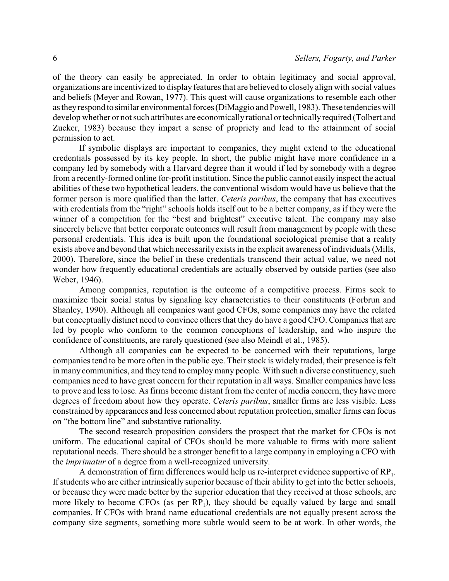of the theory can easily be appreciated. In order to obtain legitimacy and social approval, organizations are incentivized to display features that are believed to closely align with social values and beliefs (Meyer and Rowan, 1977). This quest will cause organizations to resemble each other as theyrespond to similar environmental forces (DiMaggio and Powell, 1983). These tendencies will develop whether or not such attributes are economicallyrational or technicallyrequired (Tolbert and Zucker, 1983) because they impart a sense of propriety and lead to the attainment of social permission to act.

If symbolic displays are important to companies, they might extend to the educational credentials possessed by its key people. In short, the public might have more confidence in a company led by somebody with a Harvard degree than it would if led by somebody with a degree from a recently-formed online for-profit institution. Since the public cannot easily inspect the actual abilities of these two hypothetical leaders, the conventional wisdom would have us believe that the former person is more qualified than the latter. *Ceteris paribus*, the company that has executives with credentials from the "right" schools holds itself out to be a better company, as if they were the winner of a competition for the "best and brightest" executive talent. The company may also sincerely believe that better corporate outcomes will result from management by people with these personal credentials. This idea is built upon the foundational sociological premise that a reality exists above and beyond that which necessarilyexists in the explicit awareness of individuals (Mills, 2000). Therefore, since the belief in these credentials transcend their actual value, we need not wonder how frequently educational credentials are actually observed by outside parties (see also Weber, 1946).

Among companies, reputation is the outcome of a competitive process. Firms seek to maximize their social status by signaling key characteristics to their constituents (Forbrun and Shanley, 1990). Although all companies want good CFOs, some companies may have the related but conceptually distinct need to convince others that they do have a good CFO. Companies that are led by people who conform to the common conceptions of leadership, and who inspire the confidence of constituents, are rarely questioned (see also Meindl et al., 1985).

Although all companies can be expected to be concerned with their reputations, large companies tend to be more often in the public eye. Their stock is widely traded, their presence is felt in many communities, and they tend to employ many people. With such a diverse constituency, such companies need to have great concern for their reputation in all ways. Smaller companies have less to prove and less to lose. As firms become distant from the center of media concern, they have more degrees of freedom about how they operate. *Ceteris paribus*, smaller firms are less visible. Less constrained by appearances and less concerned about reputation protection, smaller firms can focus on "the bottom line" and substantive rationality.

The second research proposition considers the prospect that the market for CFOs is not uniform. The educational capital of CFOs should be more valuable to firms with more salient reputational needs. There should be a stronger benefit to a large company in employing a CFO with the *imprimatur* of a degree from a well-recognized university.

A demonstration of firm differences would help us re-interpret evidence supportive of  $RP_1$ . If students who are either intrinsically superior because of their ability to get into the better schools, or because they were made better by the superior education that they received at those schools, are more likely to become  $CFOs$  (as per  $RP_1$ ), they should be equally valued by large and small companies. If CFOs with brand name educational credentials are not equally present across the company size segments, something more subtle would seem to be at work. In other words, the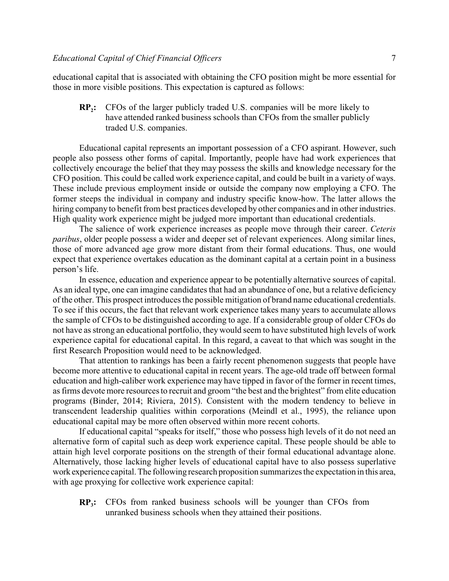educational capital that is associated with obtaining the CFO position might be more essential for those in more visible positions. This expectation is captured as follows:

**RP**<sub>2</sub>**2 :** CFOs of the larger publicly traded U.S. companies will be more likely to have attended ranked business schools than CFOs from the smaller publicly traded U.S. companies.

Educational capital represents an important possession of a CFO aspirant. However, such people also possess other forms of capital. Importantly, people have had work experiences that collectively encourage the belief that they may possess the skills and knowledge necessary for the CFO position. This could be called work experience capital, and could be built in a variety of ways. These include previous employment inside or outside the company now employing a CFO. The former steeps the individual in company and industry specific know-how. The latter allows the hiring company to benefit from best practices developed by other companies and in other industries. High quality work experience might be judged more important than educational credentials.

The salience of work experience increases as people move through their career. *Ceteris paribus*, older people possess a wider and deeper set of relevant experiences. Along similar lines, those of more advanced age grow more distant from their formal educations. Thus, one would expect that experience overtakes education as the dominant capital at a certain point in a business person's life.

In essence, education and experience appear to be potentially alternative sources of capital. As an ideal type, one can imagine candidates that had an abundance of one, but a relative deficiency of the other. This prospect introduces the possible mitigation of brand name educational credentials. To see if this occurs, the fact that relevant work experience takes many years to accumulate allows the sample of CFOs to be distinguished according to age. If a considerable group of older CFOs do not have as strong an educational portfolio, they would seem to have substituted high levels of work experience capital for educational capital. In this regard, a caveat to that which was sought in the first Research Proposition would need to be acknowledged.

That attention to rankings has been a fairly recent phenomenon suggests that people have become more attentive to educational capital in recent years. The age-old trade off between formal education and high-caliber work experience may have tipped in favor of the former in recent times, as firms devote more resources to recruit and groom "the best and the brightest" from elite education programs (Binder, 2014; Riviera, 2015). Consistent with the modern tendency to believe in transcendent leadership qualities within corporations (Meindl et al., 1995), the reliance upon educational capital may be more often observed within more recent cohorts.

If educational capital "speaks for itself," those who possess high levels of it do not need an alternative form of capital such as deep work experience capital. These people should be able to attain high level corporate positions on the strength of their formal educational advantage alone. Alternatively, those lacking higher levels of educational capital have to also possess superlative work experience capital. The following research proposition summarizes the expectation in this area, with age proxying for collective work experience capital:

 $RP<sub>3</sub>$ **:** CFOs from ranked business schools will be younger than CFOs from unranked business schools when they attained their positions.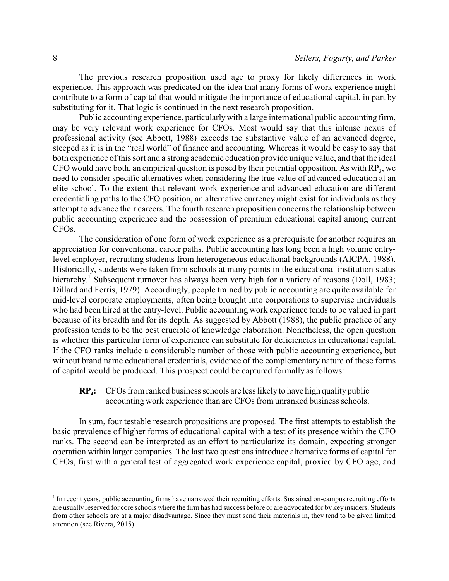The previous research proposition used age to proxy for likely differences in work experience. This approach was predicated on the idea that many forms of work experience might contribute to a form of capital that would mitigate the importance of educational capital, in part by substituting for it. That logic is continued in the next research proposition.

Public accounting experience, particularlywith a large international public accounting firm, may be very relevant work experience for CFOs. Most would say that this intense nexus of professional activity (see Abbott, 1988) exceeds the substantive value of an advanced degree, steeped as it is in the "real world" of finance and accounting. Whereas it would be easy to say that both experience of this sort and a strong academic education provide unique value, and that the ideal CFO would have both, an empirical question is posed by their potential opposition. As with  $RP_3$ , we need to consider specific alternatives when considering the true value of advanced education at an elite school. To the extent that relevant work experience and advanced education are different credentialing paths to the CFO position, an alternative currency might exist for individuals as they attempt to advance their careers. The fourth research proposition concerns the relationship between public accounting experience and the possession of premium educational capital among current CFOs.

The consideration of one form of work experience as a prerequisite for another requires an appreciation for conventional career paths. Public accounting has long been a high volume entrylevel employer, recruiting students from heterogeneous educational backgrounds (AICPA, 1988). Historically, students were taken from schools at many points in the educational institution status hierarchy.<sup>1</sup> Subsequent turnover has always been very high for a variety of reasons (Doll, 1983; Dillard and Ferris, 1979). Accordingly, people trained by public accounting are quite available for mid-level corporate employments, often being brought into corporations to supervise individuals who had been hired at the entry-level. Public accounting work experience tends to be valued in part because of its breadth and for its depth. As suggested by Abbott (1988), the public practice of any profession tends to be the best crucible of knowledge elaboration. Nonetheless, the open question is whether this particular form of experience can substitute for deficiencies in educational capital. If the CFO ranks include a considerable number of those with public accounting experience, but without brand name educational credentials, evidence of the complementary nature of these forms of capital would be produced. This prospect could be captured formally as follows:

#### $RP_4$ **:** CFOs from ranked business schools are less likely to have high quality public accounting work experience than are CFOs from unranked business schools.

In sum, four testable research propositions are proposed. The first attempts to establish the basic prevalence of higher forms of educational capital with a test of its presence within the CFO ranks. The second can be interpreted as an effort to particularize its domain, expecting stronger operation within larger companies. The last two questions introduce alternative forms of capital for CFOs, first with a general test of aggregated work experience capital, proxied by CFO age, and

<sup>&</sup>lt;sup>1</sup> In recent years, public accounting firms have narrowed their recruiting efforts. Sustained on-campus recruiting efforts are usually reserved for core schools where the firm has had success before or are advocated for by key insiders. Students from other schools are at a major disadvantage. Since they must send their materials in, they tend to be given limited attention (see Rivera, 2015).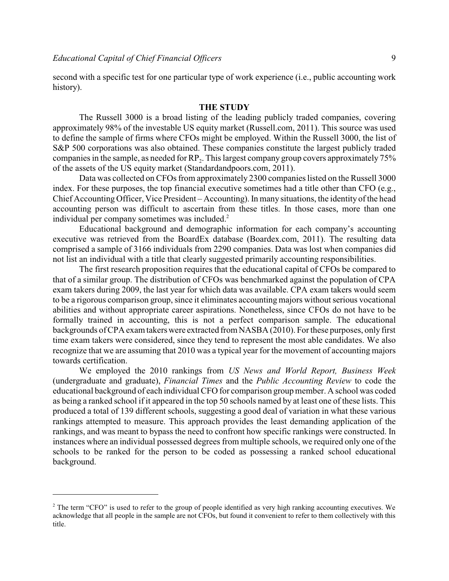second with a specific test for one particular type of work experience (i.e., public accounting work history).

### **THE STUDY**

The Russell 3000 is a broad listing of the leading publicly traded companies, covering approximately 98% of the investable US equity market (Russell.com, 2011). This source was used to define the sample of firms where CFOs might be employed. Within the Russell 3000, the list of S&P 500 corporations was also obtained. These companies constitute the largest publicly traded companies in the sample, as needed for  $RP_2$ . This largest company group covers approximately 75% of the assets of the US equity market (Standardandpoors.com, 2011).

Data was collected on CFOs from approximately 2300 companies listed on the Russell 3000 index. For these purposes, the top financial executive sometimes had a title other than CFO (e.g., Chief Accounting Officer, Vice President – Accounting). In many situations, the identity of the head accounting person was difficult to ascertain from these titles. In those cases, more than one individual per company sometimes was included.<sup>2</sup>

Educational background and demographic information for each company's accounting executive was retrieved from the BoardEx database (Boardex.com, 2011). The resulting data comprised a sample of 3166 individuals from 2290 companies. Data was lost when companies did not list an individual with a title that clearly suggested primarily accounting responsibilities.

The first research proposition requires that the educational capital of CFOs be compared to that of a similar group. The distribution of CFOs was benchmarked against the population of CPA exam takers during 2009, the last year for which data was available. CPA exam takers would seem to be a rigorous comparison group, since it eliminates accounting majors without serious vocational abilities and without appropriate career aspirations. Nonetheless, since CFOs do not have to be formally trained in accounting, this is not a perfect comparison sample. The educational backgrounds of CPA exam takers were extracted from NASBA (2010). For these purposes, only first time exam takers were considered, since they tend to represent the most able candidates. We also recognize that we are assuming that 2010 was a typical year for the movement of accounting majors towards certification.

We employed the 2010 rankings from *US News and World Report, Business Week* (undergraduate and graduate), *Financial Times* and the *Public Accounting Review* to code the educational background of each individual CFO for comparison group member. A school was coded as being a ranked school if it appeared in the top 50 schools named by at least one of these lists. This produced a total of 139 different schools, suggesting a good deal of variation in what these various rankings attempted to measure. This approach provides the least demanding application of the rankings, and was meant to bypass the need to confront how specific rankings were constructed. In instances where an individual possessed degrees from multiple schools, we required only one of the schools to be ranked for the person to be coded as possessing a ranked school educational background.

<sup>&</sup>lt;sup>2</sup> The term "CFO" is used to refer to the group of people identified as very high ranking accounting executives. We acknowledge that all people in the sample are not CFOs, but found it convenient to refer to them collectively with this title.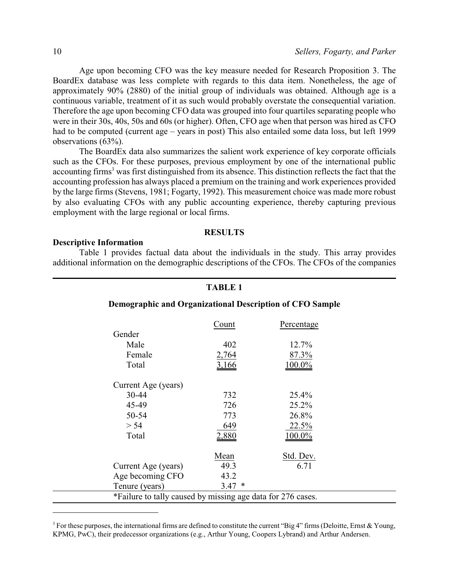Age upon becoming CFO was the key measure needed for Research Proposition 3. The BoardEx database was less complete with regards to this data item. Nonetheless, the age of approximately 90% (2880) of the initial group of individuals was obtained. Although age is a continuous variable, treatment of it as such would probably overstate the consequential variation. Therefore the age upon becoming CFO data was grouped into four quartiles separating people who were in their 30s, 40s, 50s and 60s (or higher). Often, CFO age when that person was hired as CFO had to be computed (current age – years in post) This also entailed some data loss, but left 1999 observations (63%).

The BoardEx data also summarizes the salient work experience of key corporate officials such as the CFOs. For these purposes, previous employment by one of the international public accounting firms<sup>3</sup> was first distinguished from its absence. This distinction reflects the fact that the accounting profession has always placed a premium on the training and work experiences provided by the large firms (Stevens, 1981; Fogarty, 1992). This measurement choice was made more robust by also evaluating CFOs with any public accounting experience, thereby capturing previous employment with the large regional or local firms.

### **RESULTS**

### **Descriptive Information**

Table 1 provides factual data about the individuals in the study. This array provides additional information on the demographic descriptions of the CFOs. The CFOs of the companies

|                                                             | <b>TABLE 1</b> |            |  |  |  |  |  |  |
|-------------------------------------------------------------|----------------|------------|--|--|--|--|--|--|
| Demographic and Organizational Description of CFO Sample    |                |            |  |  |  |  |  |  |
|                                                             | Count          | Percentage |  |  |  |  |  |  |
| Gender                                                      |                |            |  |  |  |  |  |  |
| Male                                                        | 402            | 12.7%      |  |  |  |  |  |  |
| Female                                                      | 2,764          | 87.3%      |  |  |  |  |  |  |
| Total                                                       | 3,166          | $100.0\%$  |  |  |  |  |  |  |
| Current Age (years)                                         |                |            |  |  |  |  |  |  |
| 30-44                                                       | 732            | 25.4%      |  |  |  |  |  |  |
| 45-49                                                       | 726            | 25.2%      |  |  |  |  |  |  |
| 50-54                                                       | 773            | 26.8%      |  |  |  |  |  |  |
| > 54                                                        | 649            | 22.5%      |  |  |  |  |  |  |
| Total                                                       | 2,880          | $100.0\%$  |  |  |  |  |  |  |
|                                                             | Mean           | Std. Dev.  |  |  |  |  |  |  |
| Current Age (years)                                         | 49.3           | 6.71       |  |  |  |  |  |  |
| Age becoming CFO                                            | 43.2           |            |  |  |  |  |  |  |
| Tenure (years)                                              | 3.47<br>$\ast$ |            |  |  |  |  |  |  |
| *Failure to tally caused by missing age data for 276 cases. |                |            |  |  |  |  |  |  |

<sup>&</sup>lt;sup>3</sup> For these purposes, the international firms are defined to constitute the current "Big 4" firms (Deloitte, Ernst & Young, KPMG, PwC), their predecessor organizations (e.g., Arthur Young, Coopers Lybrand) and Arthur Andersen.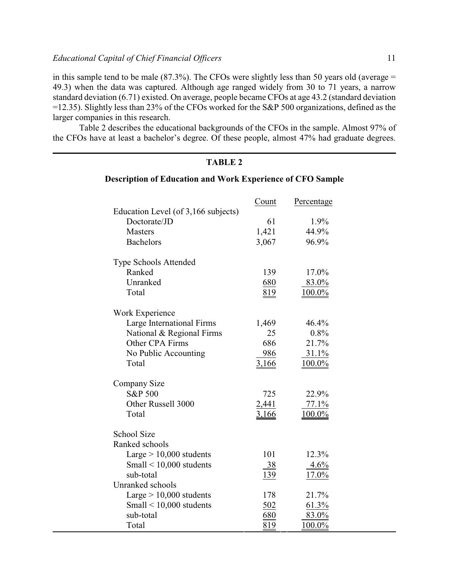in this sample tend to be male  $(87.3\%)$ . The CFOs were slightly less than 50 years old (average = 49.3) when the data was captured. Although age ranged widely from 30 to 71 years, a narrow standard deviation (6.71) existed. On average, people became CFOs at age 43.2 (standard deviation =12.35). Slightly less than 23% of the CFOs worked for the S&P 500 organizations, defined as the larger companies in this research.

Table 2 describes the educational backgrounds of the CFOs in the sample. Almost 97% of the CFOs have at least a bachelor's degree. Of these people, almost 47% had graduate degrees.

## **TABLE 2**

### **Description of Education and Work Experience of CFO Sample**

|                                                        | Count       | Percentage |
|--------------------------------------------------------|-------------|------------|
| Education Level (of 3,166 subjects)                    |             |            |
| Doctorate/JD                                           | 61          | 1.9%       |
| <b>Masters</b>                                         | 1,421       | 44.9%      |
| <b>Bachelors</b>                                       | 3,067       | 96.9%      |
| <b>Type Schools Attended</b>                           |             |            |
| Ranked                                                 | 139         | 17.0%      |
| Unranked                                               | 680         | 83.0%      |
| Total                                                  | 819         | $100.0\%$  |
|                                                        |             |            |
| Work Experience                                        |             | 46.4%      |
| Large International Firms<br>National & Regional Firms | 1,469<br>25 | 0.8%       |
| Other CPA Firms                                        | 686         | 21.7%      |
| No Public Accounting                                   | 986         | $31.1\%$   |
| Total                                                  | 3,166       | $100.0\%$  |
|                                                        |             |            |
| Company Size                                           |             |            |
| <b>S&amp;P 500</b>                                     | 725         | 22.9%      |
| Other Russell 3000                                     | 2,441       | 77.1%      |
| Total                                                  | 3,166       | $100.0\%$  |
|                                                        |             |            |
| School Size                                            |             |            |
| Ranked schools                                         |             |            |
| Large $> 10,000$ students                              | 101         | 12.3%      |
| Small $\leq 10,000$ students                           | 38          | 4.6%       |
| sub-total                                              | 139         | 17.0%      |
| Unranked schools                                       |             |            |
| Large $> 10,000$ students                              | 178         | 21.7%      |
| Small $\leq 10,000$ students                           | 502         | 61.3%      |
| sub-total                                              | 680         | 83.0%      |
| Total                                                  | 819         | $100.0\%$  |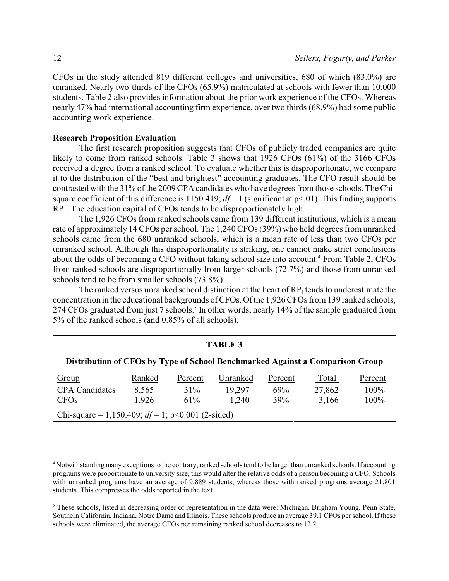CFOs in the study attended 819 different colleges and universities, 680 of which (83.0%) are unranked. Nearly two-thirds of the CFOs (65.9%) matriculated at schools with fewer than 10,000 students. Table 2 also provides information about the prior work experience of the CFOs. Whereas nearly 47% had international accounting firm experience, over two thirds (68.9%) had some public accounting work experience.

### **Research Proposition Evaluation**

The first research proposition suggests that CFOs of publicly traded companies are quite likely to come from ranked schools. Table 3 shows that 1926 CFOs (61%) of the 3166 CFOs received a degree from a ranked school. To evaluate whether this is disproportionate, we compare it to the distribution of the "best and brightest" accounting graduates. The CFO result should be contrasted with the 31% of the 2009 CPA candidates who have degrees from those schools. The Chisquare coefficient of this difference is 1150.419;  $df = 1$  (significant at  $p \le 01$ ). This finding supports  $RP<sub>1</sub>$ . The education capital of CFOs tends to be disproportionately high.

The 1,926 CFOs from ranked schools came from 139 different institutions, which is a mean rate of approximately 14 CFOs per school. The 1,240 CFOs (39%) who held degrees from unranked schools came from the 680 unranked schools, which is a mean rate of less than two CFOs per unranked school. Although this disproportionality is striking, one cannot make strict conclusions about the odds of becoming a CFO without taking school size into account.<sup>4</sup> From Table 2, CFOs from ranked schools are disproportionally from larger schools (72.7%) and those from unranked schools tend to be from smaller schools (73.8%).

The ranked versus unranked school distinction at the heart of  $RP_1$  tends to underestimate the concentration in the educational backgrounds of CFOs. Of the 1,926 CFOs from 139 ranked schools, 274 CFOs graduated from just 7 schools.<sup>5</sup> In other words, nearly 14% of the sample graduated from 5% of the ranked schools (and 0.85% of all schools).

| <b>TABLE 3</b>                                                                |        |         |          |         |        |         |  |  |
|-------------------------------------------------------------------------------|--------|---------|----------|---------|--------|---------|--|--|
| Distribution of CFOs by Type of School Benchmarked Against a Comparison Group |        |         |          |         |        |         |  |  |
| Group                                                                         | Ranked | Percent | Unranked | Percent | Total  | Percent |  |  |
| <b>CPA</b> Candidates                                                         | 8,565  | 31%     | 19,297   | 69%     | 27,862 | $100\%$ |  |  |
| <b>CFOs</b>                                                                   | 1,926  | $61\%$  | 1.240    | 39%     | 3,166  | $100\%$ |  |  |
| Chi-square = 1,150.409; $df = 1$ ; p<0.001 (2-sided)                          |        |         |          |         |        |         |  |  |

<sup>&</sup>lt;sup>4</sup> Notwithstanding many exceptions to the contrary, ranked schools tend to be larger than unranked schools. If accounting programs were proportionate to university size, this would alter the relative odds of a person becoming a CFO. Schools with unranked programs have an average of 9,889 students, whereas those with ranked programs average 21,801 students. This compresses the odds reported in the text.

<sup>5</sup> These schools, listed in decreasing order of representation in the data were: Michigan, Brigham Young, Penn State, Southern California, Indiana, Notre Dame and Illinois. These schools produce an average 39.1 CFOs per school. If these schools were eliminated, the average CFOs per remaining ranked school decreases to 12.2.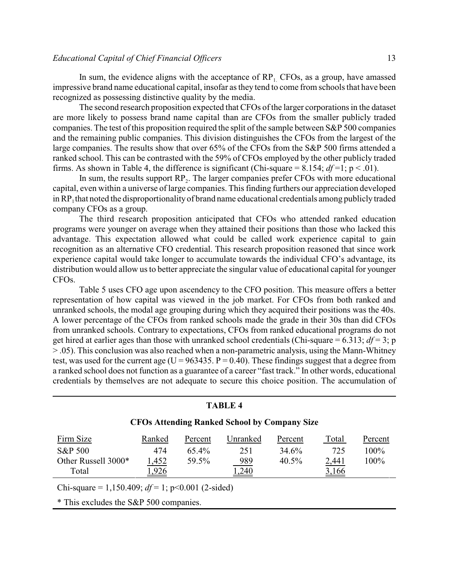In sum, the evidence aligns with the acceptance of  $RP_1$ . CFOs, as a group, have amassed impressive brand name educational capital, insofar as they tend to come from schools that have been recognized as possessing distinctive quality by the media.

The second research proposition expected that CFOs of the larger corporations in the dataset are more likely to possess brand name capital than are CFOs from the smaller publicly traded companies. The test of this proposition required the split of the sample between S&P 500 companies and the remaining public companies. This division distinguishes the CFOs from the largest of the large companies. The results show that over 65% of the CFOs from the S&P 500 firms attended a ranked school. This can be contrasted with the 59% of CFOs employed by the other publicly traded firms. As shown in Table 4, the difference is significant (Chi-square =  $8.154$ ;  $df=1$ ;  $p < .01$ ).

In sum, the results support  $RP_2$ . The larger companies prefer CFOs with more educational capital, even within a universe of large companies. This finding furthers our appreciation developed in  $\mathbb{RP}_1$  that noted the disproportionality of brand name educational credentials among publicly traded company CFOs as a group.

The third research proposition anticipated that CFOs who attended ranked education programs were younger on average when they attained their positions than those who lacked this advantage. This expectation allowed what could be called work experience capital to gain recognition as an alternative CFO credential. This research proposition reasoned that since work experience capital would take longer to accumulate towards the individual CFO's advantage, its distribution would allow us to better appreciate the singular value of educational capital for younger CFOs.

Table 5 uses CFO age upon ascendency to the CFO position. This measure offers a better representation of how capital was viewed in the job market. For CFOs from both ranked and unranked schools, the modal age grouping during which they acquired their positions was the 40s. A lower percentage of the CFOs from ranked schools made the grade in their 30s than did CFOs from unranked schools. Contrary to expectations, CFOs from ranked educational programs do not get hired at earlier ages than those with unranked school credentials (Chi-square  $= 6.313$ ;  $df = 3$ ; p > .05). This conclusion was also reached when a non-parametric analysis, using the Mann-Whitney test, was used for the current age ( $U = 963435$ .  $P = 0.40$ ). These findings suggest that a degree from a ranked school does not function as a guarantee of a career "fast track." In other words, educational credentials by themselves are not adequate to secure this choice position. The accumulation of

| <b>TABLE 4</b>                                       |        |          |          |          |       |         |  |  |  |
|------------------------------------------------------|--------|----------|----------|----------|-------|---------|--|--|--|
| <b>CFOs Attending Ranked School by Company Size</b>  |        |          |          |          |       |         |  |  |  |
| Firm Size                                            | Ranked | Percent  | Unranked | Percent  | Total | Percent |  |  |  |
| <b>S&amp;P 500</b>                                   | 474    | $65.4\%$ | 251      | 34.6%    | 725   | 100%    |  |  |  |
| Other Russell 3000*                                  | 1,452  | 59.5%    | 989      | $40.5\%$ | 2,441 | 100%    |  |  |  |
| ,926<br>,240<br>3,166<br>Total                       |        |          |          |          |       |         |  |  |  |
| Chi-square = 1,150.409; $df = 1$ ; p<0.001 (2-sided) |        |          |          |          |       |         |  |  |  |
| * This excludes the S&P 500 companies.               |        |          |          |          |       |         |  |  |  |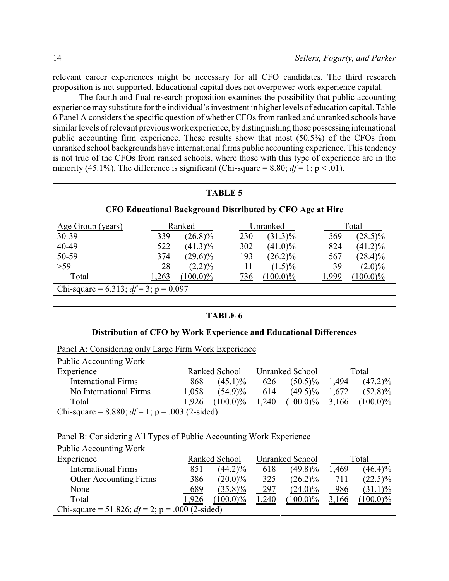relevant career experiences might be necessary for all CFO candidates. The third research proposition is not supported. Educational capital does not overpower work experience capital.

The fourth and final research proposition examines the possibility that public accounting experience may substitute for the individual's investment in higher levels of education capital. Table 6 Panel A considers the specific question of whether CFOs from ranked and unranked schools have similar levels of relevant previous work experience, by distinguishing those possessing international public accounting firm experience. These results show that most (50.5%) of the CFOs from unranked school backgrounds have international firms public accounting experience. This tendency is not true of the CFOs from ranked schools, where those with this type of experience are in the minority (45.1%). The difference is significant (Chi-square = 8.80;  $df = 1$ ; p < .01).

### **TABLE 5**

### **CFO Educational Background Distributed by CFO Age at Hire**

| Age Group (years)                        |       | Ranked      |            | Unranked    | Total |             |  |
|------------------------------------------|-------|-------------|------------|-------------|-------|-------------|--|
| 30-39                                    | 339   | $(26.8)\%$  | 230        | $(31.3)\%$  | 569   | $(28.5)\%$  |  |
| 40-49                                    | 522   | $(41.3)\%$  | 302        | $(41.0)\%$  | 824   | $(41.2)\%$  |  |
| 50-59                                    | 374   | $(29.6)\%$  | 193        | $(26.2)\%$  | 567   | $(28.4)\%$  |  |
| $>59$                                    | 28    | $(2.2)\%$   | <u> 11</u> | $(1.5)\%$   | 39    | $(2.0)\%$   |  |
| Total                                    | 1,263 | $(100.0)\%$ | <u>736</u> | $(100.0)\%$ | 1,999 | $(100.0)\%$ |  |
| Chi-square = 6.313; $df = 3$ ; p = 0.097 |       |             |            |             |       |             |  |

### **TABLE 6**

### **Distribution of CFO by Work Experience and Educational Differences**

|  | Panel A: Considering only Large Firm Work Experience      |  |  |  |  |
|--|-----------------------------------------------------------|--|--|--|--|
|  | $\mathbf{r}$ 11 $\mathbf{r}$ $\mathbf{r}$ 11 $\mathbf{r}$ |  |  |  |  |

| PUDIIC ACCOUNTING WORK                            |                                  |             |       |             |              |             |
|---------------------------------------------------|----------------------------------|-------------|-------|-------------|--------------|-------------|
| Experience                                        | Unranked School<br>Ranked School |             | Total |             |              |             |
| <b>International Firms</b>                        | 868                              | $(45.1)\%$  | 626   | $(50.5)\%$  | 1,494        | $(47.2)\%$  |
| No International Firms                            | 1,058                            | $(54.9)\%$  | 614   | $(49.5)\%$  | 1,672        | $(52.8)\%$  |
| Total                                             | 1,926                            | $(100.0)\%$ | 1,240 | $(100.0)\%$ | <u>3,166</u> | $(100.0)\%$ |
| Chi-square = 8.880; $df = 1$ ; p = .003 (2-sided) |                                  |             |       |             |              |             |

### Panel B: Considering All Types of Public Accounting Work Experience

| Public Accounting Work                             |       |               |       |                 |       |             |
|----------------------------------------------------|-------|---------------|-------|-----------------|-------|-------------|
| Experience                                         |       | Ranked School |       | Unranked School |       | Total       |
| <b>International Firms</b>                         | 851   | $(44.2)\%$    | 618   | $(49.8)\%$      | 1,469 | $(46.4)\%$  |
| <b>Other Accounting Firms</b>                      | 386   | $(20.0)\%$    | 325   | $(26.2)\%$      | 711   | $(22.5)\%$  |
| None                                               | 689   | $(35.8)\%$    | 297   | $(24.0)\%$      | 986   | $(31.1)\%$  |
| Total                                              | 1,926 | $100.0\%$     | 1,240 | $(100.0)\%$     | 3,166 | $(100.0)\%$ |
| Chi-square = 51.826; $df = 2$ ; p = .000 (2-sided) |       |               |       |                 |       |             |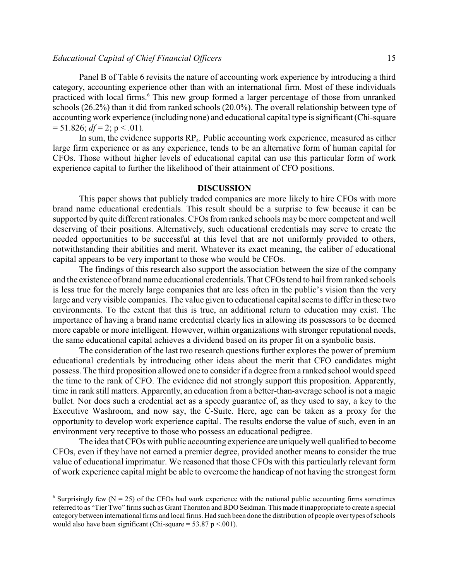Panel B of Table 6 revisits the nature of accounting work experience by introducing a third category, accounting experience other than with an international firm. Most of these individuals practiced with local firms.<sup>6</sup> This new group formed a larger percentage of those from unranked schools (26.2%) than it did from ranked schools (20.0%). The overall relationship between type of accounting work experience (including none) and educational capital type is significant (Chi-square  $= 51.826$ ; *df* = 2; p < .01).

In sum, the evidence supports  $RP_4$ . Public accounting work experience, measured as either large firm experience or as any experience, tends to be an alternative form of human capital for CFOs. Those without higher levels of educational capital can use this particular form of work experience capital to further the likelihood of their attainment of CFO positions.

### **DISCUSSION**

This paper shows that publicly traded companies are more likely to hire CFOs with more brand name educational credentials. This result should be a surprise to few because it can be supported by quite different rationales. CFOs from ranked schools may be more competent and well deserving of their positions. Alternatively, such educational credentials may serve to create the needed opportunities to be successful at this level that are not uniformly provided to others, notwithstanding their abilities and merit. Whatever its exact meaning, the caliber of educational capital appears to be very important to those who would be CFOs.

The findings of this research also support the association between the size of the company and the existence of brand name educational credentials. That CFOs tend to hail from ranked schools is less true for the merely large companies that are less often in the public's vision than the very large and very visible companies. The value given to educational capital seems to differ in these two environments. To the extent that this is true, an additional return to education may exist. The importance of having a brand name credential clearly lies in allowing its possessors to be deemed more capable or more intelligent. However, within organizations with stronger reputational needs, the same educational capital achieves a dividend based on its proper fit on a symbolic basis.

The consideration of the last two research questions further explores the power of premium educational credentials by introducing other ideas about the merit that CFO candidates might possess. The third proposition allowed one to consider if a degree from a ranked school would speed the time to the rank of CFO. The evidence did not strongly support this proposition. Apparently, time in rank still matters. Apparently, an education from a better-than-average school is not a magic bullet. Nor does such a credential act as a speedy guarantee of, as they used to say, a key to the Executive Washroom, and now say, the C-Suite. Here, age can be taken as a proxy for the opportunity to develop work experience capital. The results endorse the value of such, even in an environment very receptive to those who possess an educational pedigree.

The idea that CFOs with public accounting experience are uniquelywell qualified to become CFOs, even if they have not earned a premier degree, provided another means to consider the true value of educational imprimatur. We reasoned that those CFOs with this particularly relevant form of work experience capital might be able to overcome the handicap of not having the strongest form

 $6$  Surprisingly few (N = 25) of the CFOs had work experience with the national public accounting firms sometimes referred to as "Tier Two" firms such as Grant Thornton and BDO Seidman. This made it inappropriate to create a special category between international firms and local firms. Had such been done the distribution of people over types ofschools would also have been significant (Chi-square =  $53.87$  p <.001).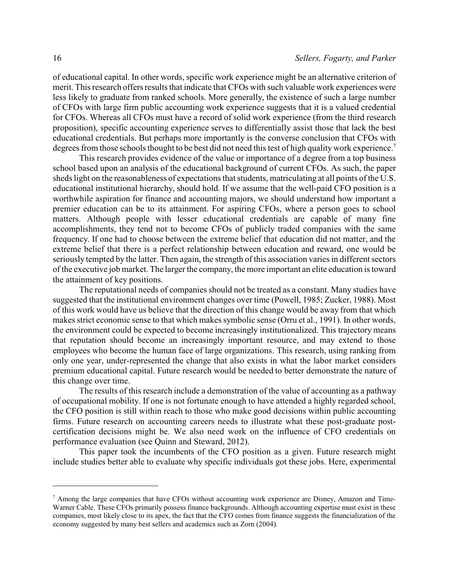of educational capital. In other words, specific work experience might be an alternative criterion of merit. This research offers results that indicate that CFOs with such valuable work experiences were less likely to graduate from ranked schools. More generally, the existence of such a large number of CFOs with large firm public accounting work experience suggests that it is a valued credential for CFOs. Whereas all CFOs must have a record of solid work experience (from the third research proposition), specific accounting experience serves to differentially assist those that lack the best educational credentials. But perhaps more importantly is the converse conclusion that CFOs with degrees from those schools thought to be best did not need this test of high quality work experience.<sup>7</sup>

This research provides evidence of the value or importance of a degree from a top business school based upon an analysis of the educational background of current CFOs. As such, the paper sheds light on the reasonableness of expectations that students, matriculating at all points of the U.S. educational institutional hierarchy, should hold. If we assume that the well-paid CFO position is a worthwhile aspiration for finance and accounting majors, we should understand how important a premier education can be to its attainment. For aspiring CFOs, where a person goes to school matters. Although people with lesser educational credentials are capable of many fine accomplishments, they tend not to become CFOs of publicly traded companies with the same frequency. If one had to choose between the extreme belief that education did not matter, and the extreme belief that there is a perfect relationship between education and reward, one would be seriously tempted by the latter. Then again, the strength of this association varies in different sectors of the executive job market. The larger the company, the more important an elite education is toward the attainment of key positions.

The reputational needs of companies should not be treated as a constant. Many studies have suggested that the institutional environment changes over time (Powell, 1985; Zucker, 1988). Most of this work would have us believe that the direction of this change would be away from that which makes strict economic sense to that which makes symbolic sense (Orru et al., 1991). In other words, the environment could be expected to become increasingly institutionalized. This trajectory means that reputation should become an increasingly important resource, and may extend to those employees who become the human face of large organizations. This research, using ranking from only one year, under-represented the change that also exists in what the labor market considers premium educational capital. Future research would be needed to better demonstrate the nature of this change over time.

The results of this research include a demonstration of the value of accounting as a pathway of occupational mobility. If one is not fortunate enough to have attended a highly regarded school, the CFO position is still within reach to those who make good decisions within public accounting firms. Future research on accounting careers needs to illustrate what these post-graduate postcertification decisions might be. We also need work on the influence of CFO credentials on performance evaluation (see Quinn and Steward, 2012).

This paper took the incumbents of the CFO position as a given. Future research might include studies better able to evaluate why specific individuals got these jobs. Here, experimental

<sup>7</sup> Among the large companies that have CFOs without accounting work experience are Disney, Amazon and Time-Warner Cable. These CFOs primarily possess finance backgrounds. Although accounting expertise must exist in these companies, most likely close to its apex, the fact that the CFO comes from finance suggests the financialization of the economy suggested by many best sellers and academics such as Zorn (2004).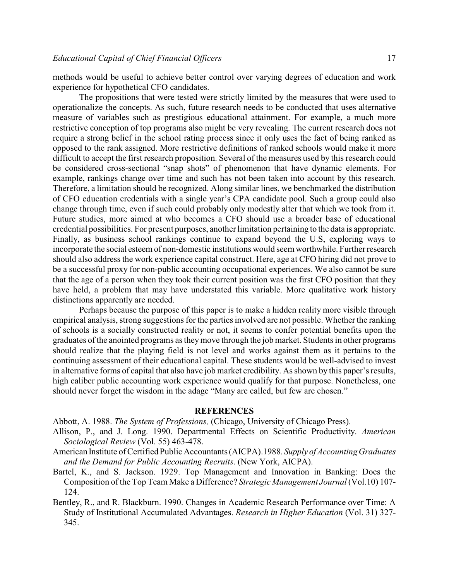methods would be useful to achieve better control over varying degrees of education and work experience for hypothetical CFO candidates.

The propositions that were tested were strictly limited by the measures that were used to operationalize the concepts. As such, future research needs to be conducted that uses alternative measure of variables such as prestigious educational attainment. For example, a much more restrictive conception of top programs also might be very revealing. The current research does not require a strong belief in the school rating process since it only uses the fact of being ranked as opposed to the rank assigned. More restrictive definitions of ranked schools would make it more difficult to accept the first research proposition. Several of the measures used by this research could be considered cross-sectional "snap shots" of phenomenon that have dynamic elements. For example, rankings change over time and such has not been taken into account by this research. Therefore, a limitation should be recognized. Along similar lines, we benchmarked the distribution of CFO education credentials with a single year's CPA candidate pool. Such a group could also change through time, even if such could probably only modestly alter that which we took from it. Future studies, more aimed at who becomes a CFO should use a broader base of educational credential possibilities. For present purposes, another limitation pertaining to the data is appropriate. Finally, as business school rankings continue to expand beyond the U.S, exploring ways to incorporate the social esteem of non-domestic institutions would seem worthwhile. Further research should also address the work experience capital construct. Here, age at CFO hiring did not prove to be a successful proxy for non-public accounting occupational experiences. We also cannot be sure that the age of a person when they took their current position was the first CFO position that they have held, a problem that may have understated this variable. More qualitative work history distinctions apparently are needed.

Perhaps because the purpose of this paper is to make a hidden reality more visible through empirical analysis, strong suggestions for the parties involved are not possible. Whether the ranking of schools is a socially constructed reality or not, it seems to confer potential benefits upon the graduates of the anointed programs as theymove through the job market. Students in other programs should realize that the playing field is not level and works against them as it pertains to the continuing assessment of their educational capital. These students would be well-advised to invest in alternative forms of capital that also have job market credibility. As shown by this paper's results, high caliber public accounting work experience would qualify for that purpose. Nonetheless, one should never forget the wisdom in the adage "Many are called, but few are chosen."

### **REFERENCES**

Abbott, A. 1988. *The System of Professions,* (Chicago, University of Chicago Press).

- Allison, P., and J. Long. 1990. Departmental Effects on Scientific Productivity. *American Sociological Review* (Vol. 55) 463-478.
- American Institute of Certified Public Accountants (AICPA).1988. *Supply of Accounting Graduates and the Demand for Public Accounting Recruits*. (New York, AICPA).
- Bartel, K., and S. Jackson. 1929. Top Management and Innovation in Banking: Does the Composition of the Top Team Make a Difference? *Strategic Management Journal* (Vol.10) 107- 124.
- Bentley, R., and R. Blackburn. 1990. Changes in Academic Research Performance over Time: A Study of Institutional Accumulated Advantages. *Research in Higher Education* (Vol. 31) 327- 345.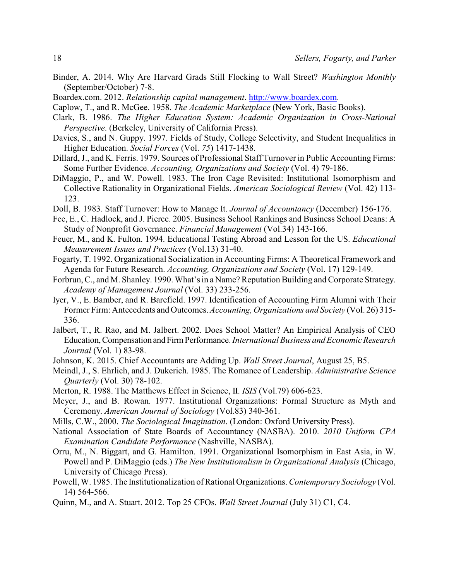- Binder, A. 2014. Why Are Harvard Grads Still Flocking to Wall Street? *Washington Monthly* (September/October) 7-8.
- Boardex.com. 2012. *Relationship capital management*.<http://www.boardex.com>.
- Caplow, T., and R. McGee. 1958. *The Academic Marketplace* (New York, Basic Books).
- Clark, B. 1986. *The Higher Education System: Academic Organization in Cross-National Perspective*. (Berkeley, University of California Press).
- Davies, S., and N. Guppy. 1997. Fields of Study, College Selectivity, and Student Inequalities in Higher Education. *Social Forces* (Vol. *75*) 1417-1438.
- Dillard, J., and K. Ferris. 1979. Sources of Professional Staff Turnover in Public Accounting Firms: Some Further Evidence. *Accounting, Organizations and Society* (Vol. 4) 79-186.
- DiMaggio, P., and W. Powell. 1983. The Iron Cage Revisited: Institutional Isomorphism and Collective Rationality in Organizational Fields. *American Sociological Review* (Vol. 42) 113- 123.
- Doll, B. 1983. Staff Turnover: How to Manage It. *Journal of Accountancy* (December) 156-176.
- Fee, E., C. Hadlock, and J. Pierce. 2005. Business School Rankings and Business School Deans: A Study of Nonprofit Governance. *Financial Management* (Vol.34) 143-166.
- Feuer, M., and K. Fulton. 1994. Educational Testing Abroad and Lesson for the US. *Educational Measurement Issues and Practices* (Vol.13) 31-40.
- Fogarty, T. 1992. Organizational Socialization in Accounting Firms: A Theoretical Framework and Agenda for Future Research. *Accounting, Organizations and Society* (Vol. 17) 129-149.
- Forbrun, C., and M. Shanley. 1990. What's in a Name? Reputation Building and Corporate Strategy. *Academy of Management Journal* (Vol. 33) 233-256.
- Iyer, V., E. Bamber, and R. Barefield. 1997. Identification of Accounting Firm Alumni with Their Former Firm: Antecedents and Outcomes. *Accounting, Organizations and Society* (Vol. 26) 315- 336.
- Jalbert, T., R. Rao, and M. Jalbert. 2002. Does School Matter? An Empirical Analysis of CEO Education,Compensation andFirmPerformance. *International Business and Economic Research Journal* (Vol. 1) 83-98.
- Johnson, K. 2015. Chief Accountants are Adding Up. *Wall Street Journal*, August 25, B5.
- Meindl, J., S. Ehrlich, and J. Dukerich. 1985. The Romance of Leadership. *Administrative Science Quarterly* (Vol. 30) 78-102.
- Merton, R. 1988. The Matthews Effect in Science, II. *ISIS* (Vol.79) 606-623.
- Meyer, J., and B. Rowan. 1977. Institutional Organizations: Formal Structure as Myth and Ceremony. *American Journal of Sociology* (Vol.83) 340-361.
- Mills, C.W., 2000. *The Sociological Imagination*. (London: Oxford University Press).
- National Association of State Boards of Accountancy (NASBA). 2010. *2010 Uniform CPA Examination Candidate Performance* (Nashville, NASBA).
- Orru, M., N. Biggart, and G. Hamilton. 1991. Organizational Isomorphism in East Asia, in W. Powell and P. DiMaggio (eds.) *The New Institutionalism in Organizational Analysis* (Chicago, University of Chicago Press).
- Powell, W. 1985. The Institutionalization of Rational Organizations. *Contemporary Sociology* (Vol. 14) 564-566.
- Quinn, M., and A. Stuart. 2012. Top 25 CFOs. *Wall Street Journal* (July 31) C1, C4.